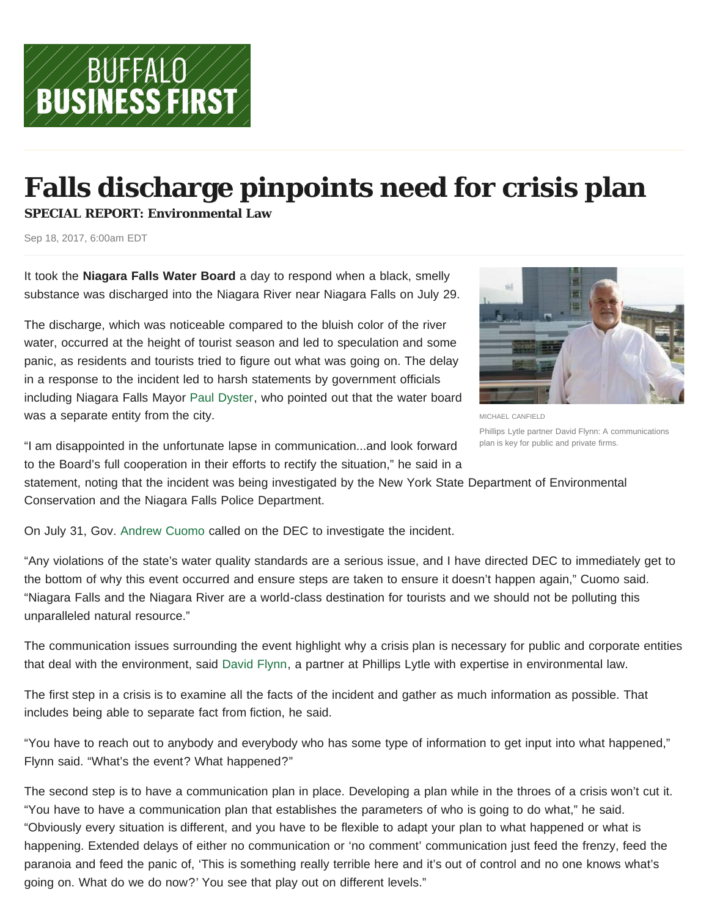## **Falls discharge pinpoints need for crisis plan**

**SPECIAL REPORT: Environmental Law**

Sep 18, 2017, 6:00am EDT

It took the **Niagara Falls Water Board** a day to respond when a black, smelly substance was discharged into the Niagara River near Niagara Falls on July 29.

The discharge, which was noticeable compared to the bluish color of the river water, occurred at the height of tourist season and led to speculation and some panic, as residents and tourists tried to figure out what was going on. The delay in a response to the incident led to harsh statements by government officials including Niagara Falls Mayor Paul Dyster, who pointed out that the water board was a separate entity from the city.

MICHAEL CANFIELD Phillips Lytle partner David Flynn: A communications plan is key for public and private firms.

"I am disappointed in the unfortunate lapse in communication...and look forward to the Board's full cooperation in their efforts to rectify the situation," he said in a

statement, noting that the incident was being investigated by the New York State Department of Environmental Conservation and the Niagara Falls Police Department.

On July 31, Gov. Andrew Cuomo called on the DEC to investigate the incident.

"Any violations of the state's water quality standards are a serious issue, and I have directed DEC to immediately get to the bottom of why this event occurred and ensure steps are taken to ensure it doesn't happen again," Cuomo said. "Niagara Falls and the Niagara River are a world-class destination for tourists and we should not be polluting this unparalleled natural resource."

The communication issues surrounding the event highlight why a crisis plan is necessary for public and corporate entities that deal with the environment, said David Flynn, a partner at Phillips Lytle with expertise in environmental law.

The first step in a crisis is to examine all the facts of the incident and gather as much information as possible. That includes being able to separate fact from fiction, he said.

"You have to reach out to anybody and everybody who has some type of information to get input into what happened," Flynn said. "What's the event? What happened?"

The second step is to have a communication plan in place. Developing a plan while in the throes of a crisis won't cut it. "You have to have a communication plan that establishes the parameters of who is going to do what," he said. "Obviously every situation is different, and you have to be flexible to adapt your plan to what happened or what is happening. Extended delays of either no communication or 'no comment' communication just feed the frenzy, feed the paranoia and feed the panic of, 'This is something really terrible here and it's out of control and no one knows what's going on. What do we do now?' You see that play out on different levels."